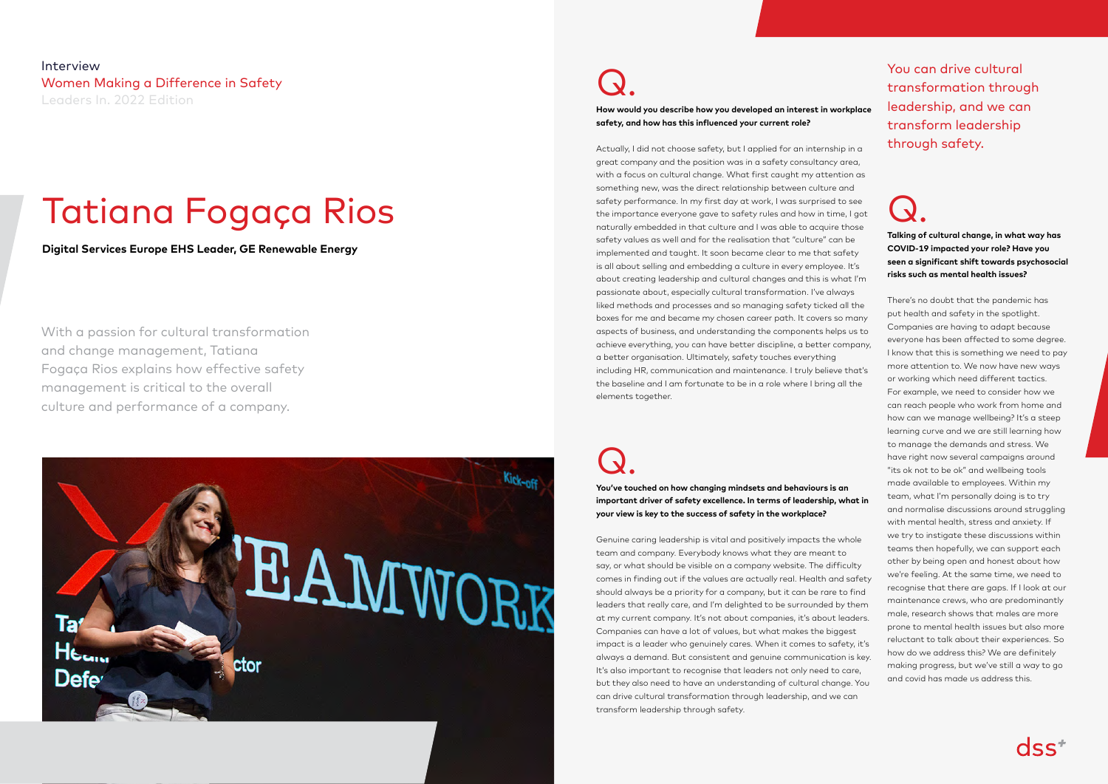Q. **Talking of cultural change, in what way has COVID-19 impacted your role? Have you seen a significant shift towards psychosocial risks such as mental health issues?** 

There's no doubt that the pandemic has put health and safety in the spotlight. Companies are having to adapt because everyone has been affected to some degree. I know that this is something we need to pay more attention to. We now have new ways or working which need different tactics. For example, we need to consider how we can reach people who work from home and how can we manage wellbeing? It's a steep learning curve and we are still learning how to manage the demands and stress. We have right now several campaigns around "its ok not to be ok" and wellbeing tools made available to employees. Within my team, what I'm personally doing is to try and normalise discussions around struggling with mental health, stress and anxiety. If we try to instigate these discussions within teams then hopefully, we can support each other by being open and honest about how we're feeling. At the same time, we need to recognise that there are gaps. If I look at our maintenance crews, who are predominantly male, research shows that males are more prone to mental health issues but also more reluctant to talk about their experiences. So how do we address this? We are definitely making progress, but we've still a way to go and covid has made us address this.



Interview Women Making a Difference in Safety Leaders In. 2022 Edition

With a passion for cultural transformation and change management, Tatiana Fogaça Rios explains how effective safety management is critical to the overall culture and performance of a company.



### Tatiana Fogaça Rios

**Digital Services Europe EHS Leader, GE Renewable Energy**

### Q.

**How would you describe how you developed an interest in workplace safety, and how has this influenced your current role?**

Actually, I did not choose safety, but I applied for an internship in a great company and the position was in a safety consultancy area, with a focus on cultural change. What first caught my attention as something new, was the direct relationship between culture and safety performance. In my first day at work, I was surprised to see the importance everyone gave to safety rules and how in time, I got naturally embedded in that culture and I was able to acquire those safety values as well and for the realisation that "culture" can be implemented and taught. It soon became clear to me that safety is all about selling and embedding a culture in every employee. It's about creating leadership and cultural changes and this is what I'm passionate about, especially cultural transformation. I've always liked methods and processes and so managing safety ticked all the boxes for me and became my chosen career path. It covers so many aspects of business, and understanding the components helps us to achieve everything, you can have better discipline, a better company, a better organisation. Ultimately, safety touches everything including HR, communication and maintenance. I truly believe that's the baseline and I am fortunate to be in a role where I bring all the elements together.

Q.

**You've touched on how changing mindsets and behaviours is an important driver of safety excellence. In terms of leadership, what in your view is key to the success of safety in the workplace?** 

Genuine caring leadership is vital and positively impacts the whole team and company. Everybody knows what they are meant to say, or what should be visible on a company website. The difficulty comes in finding out if the values are actually real. Health and safety should always be a priority for a company, but it can be rare to find leaders that really care, and I'm delighted to be surrounded by them at my current company. It's not about companies, it's about leaders. Companies can have a lot of values, but what makes the biggest impact is a leader who genuinely cares. When it comes to safety, it's always a demand. But consistent and genuine communication is key. It's also important to recognise that leaders not only need to care, but they also need to have an understanding of cultural change. You can drive cultural transformation through leadership, and we can transform leadership through safety.

You can drive cultural transformation through leadership, and we can transform leadership through safety.